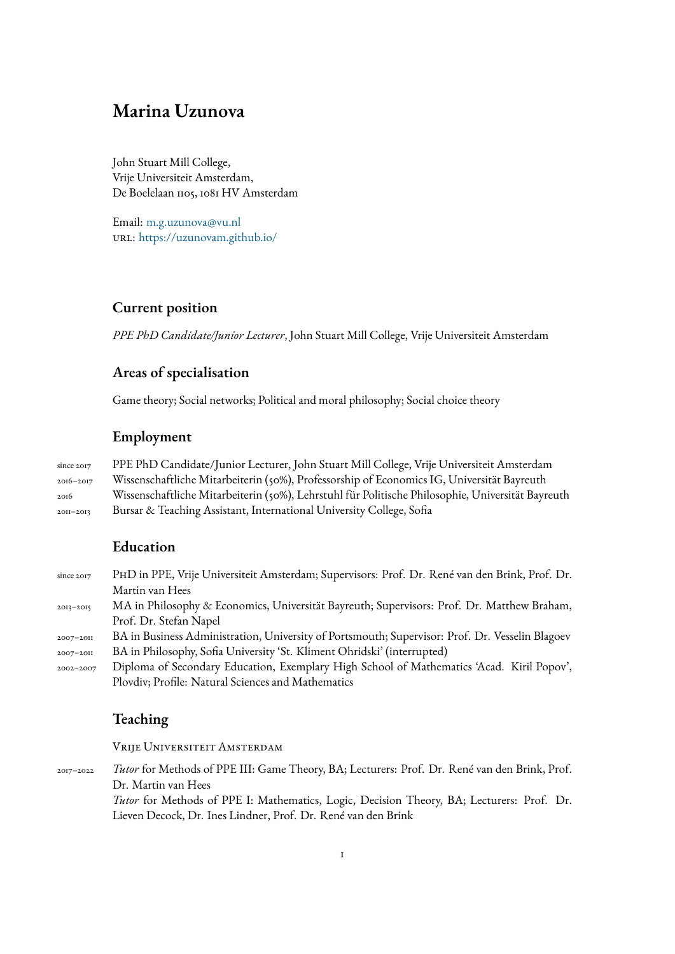# **Marina Uzunova**

John Stuart Mill College, Vrije Universiteit Amsterdam, De Boelelaan 1105, 1081 HV Amsterdam

Email: m.g.uzunova@vu.nl url: https://uzunovam.github.io/

# **Cur[rent position](https://uzunovam.github.io/)**

*PPE PhD Candidate/Junior Lecturer*, John Stuart Mill College, Vrije Universiteit Amsterdam

# **Areas of specialisation**

Game theory; Social networks; Political and moral philosophy; Social choice theory

# **Employment**

since 2017 PPE PhD Candidate/Junior Lecturer, John Stuart Mill College, Vrije Universiteit Amsterdam 2016–2017 Wissenschaftliche Mitarbeiterin (50%), Professorship of Economics IG, Universität Bayreuth 2016 Wissenschaftliche Mitarbeiterin (50%), Lehrstuhl für Politische Philosophie, Universität Bayreuth 2011–2013 Bursar & Teaching Assistant, International University College, Sofia

# **Education**

since 2017 PhD in PPE, Vrije Universiteit Amsterdam; Supervisors: Prof. Dr. René van den Brink, Prof. Dr. Martin van Hees 2013–2015 MA in Philosophy & Economics, Universität Bayreuth; Supervisors: Prof. Dr. Matthew Braham, Prof. Dr. Stefan Napel 2007–2011 BA in Business Administration, University of Portsmouth; Supervisor: Prof. Dr. Vesselin Blagoev 2007–2011 BA in Philosophy, Sofia University 'St. Kliment Ohridski' (interrupted) 2002–2007 Diploma of Secondary Education, Exemplary High School of Mathematics 'Acad. Kiril Popov', Plovdiv; Profile: Natural Sciences and Mathematics

# **Teaching**

Vrije Universiteit Amsterdam

2017–2022 *Tutor* for Methods of PPE III: Game Theory, BA; Lecturers: Prof. Dr. René van den Brink, Prof. Dr. Martin van Hees

*Tutor* for Methods of PPE I: Mathematics, Logic, Decision Theory, BA; Lecturers: Prof. Dr. Lieven Decock, Dr. Ines Lindner, Prof. Dr. René van den Brink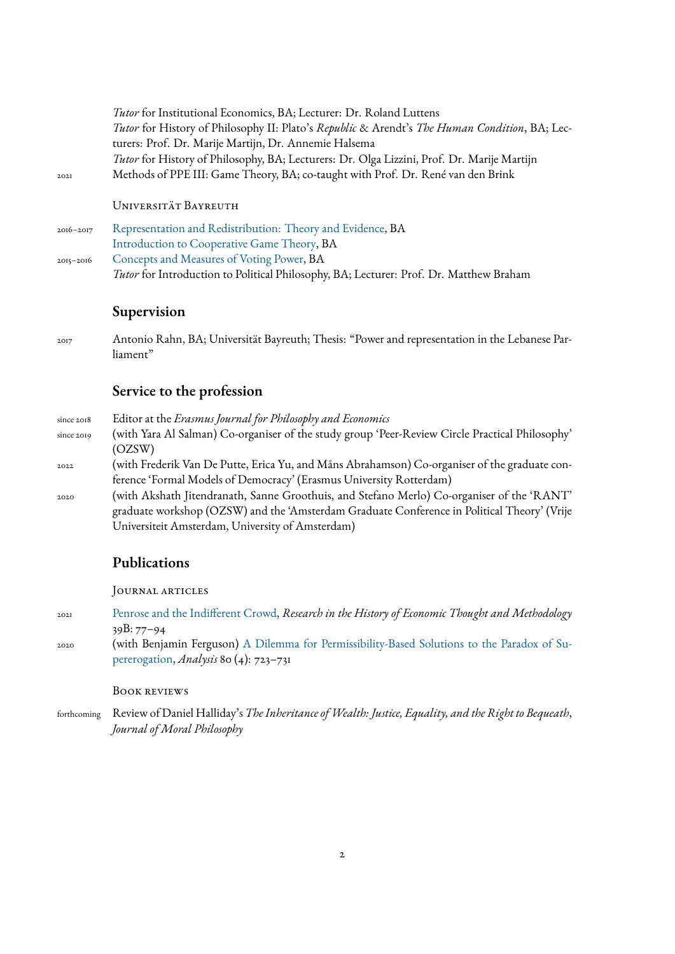*Tutor* for Institutional Economics, BA; Lecturer: Dr. Roland Luttens *Tutor* for History of Philosophy II: Plato's *Republic* & Arendt's *The Human Condition*, BA; Lecturers: Prof. Dr. Marije Martijn, Dr. Annemie Halsema *Tutor* for History of Philosophy, BA; Lecturers: Dr. Olga Lizzini, Prof. Dr. Marije Martijn 2021 Methods of PPE III: Game Theory, BA; co-taught with Prof. Dr. René van den Brink

Universität Bayreuth

2016–2017 Representation and Redistribution: Theory and Evidence, BA Introduction to Cooperative Game Theory, BA 2015–2016 Concepts and Measures of Voting Power, BA *Tutor* [for Introduction to Political Philosophy, BA; Lectur](https://uzunovam.github.io/files/syllabi/RR_Syllabus.pdf)er: Prof. Dr. Matthew Braham

# **[Supervision](https://uzunovam.github.io/files/syllabi/CMVP_Syllabus.pdf)**

2017 Antonio Rahn, BA; Universität Bayreuth; Thesis: "Power and representation in the Lebanese Parliament"

#### **Service to the profession**

Universiteit Amsterdam, University of Amsterdam)

since 2018 Editor at the *Erasmus Journal for Philosophy and Economics* since 2019 (with Yara Al Salman) Co-organiser of the study group 'Peer-Review Circle Practical Philosophy' (OZSW) 2022 (with Frederik Van De Putte, Erica Yu, and Måns Abrahamson) Co-organiser of the graduate conference 'Formal Models of Democracy' (Erasmus University Rotterdam) 2020 (with Akshath Jitendranath, Sanne Groothuis, and Stefano Merlo) Co-organiser of the 'RANT' graduate workshop (OZSW) and the 'Amsterdam Graduate Conference in Political Theory' (Vrije

# **Publications**

Journal articles

- 2021 Penrose and the Indifferent Crowd, *Research in the History of Economic Thought and Methodology* 39B: 77–94
- 2020 (with Benjamin Ferguson) A Dilemma for Permissibility-Based Solutions to the Paradox of Su[pererogation,](https://www.emerald.com/insight/content/doi/10.1108/S0743-41542021000039B006/full/html) *Analysis* 80 (4): 723–731

#### Book reviews

forthcoming [Review of Da](https://academic.oup.com/analysis/advance-article/doi/10.1093/analys/anaa033/5901313)niel Halliday's *[The Inheritance ofWealth: Justice, Equality, and the Right to Bequeath](https://academic.oup.com/analysis/advance-article/doi/10.1093/analys/anaa033/5901313)*, *Journal of Moral Philosophy*